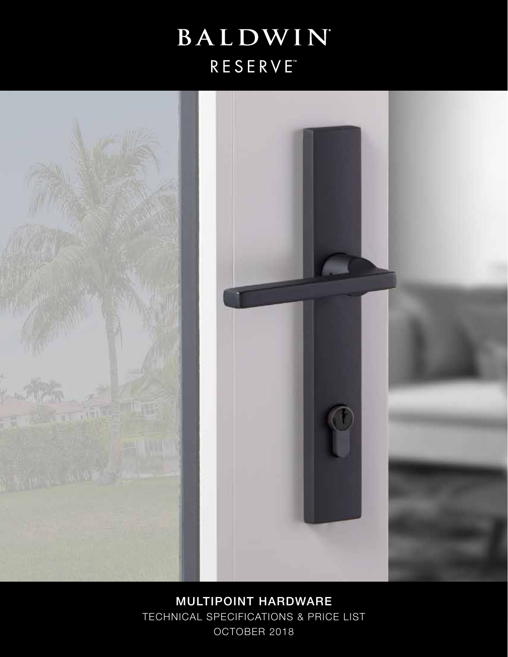# BALDWIN **RESERVE**



MULTIPOINT HARDWARE TECHNICAL SPECIFICATIONS & PRICE LIST OCTOBER 2018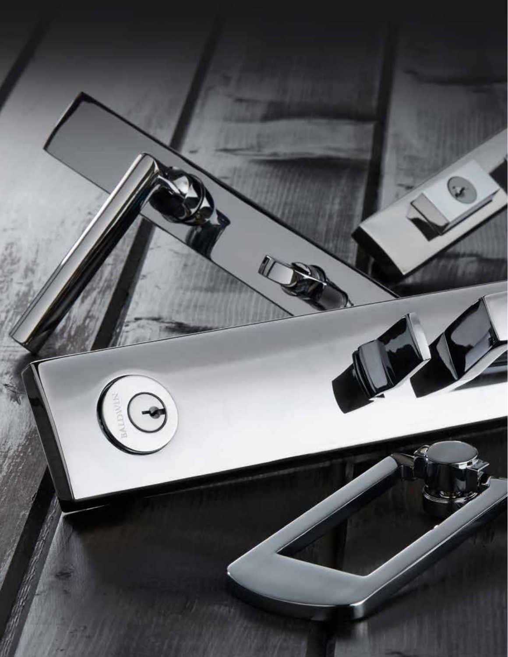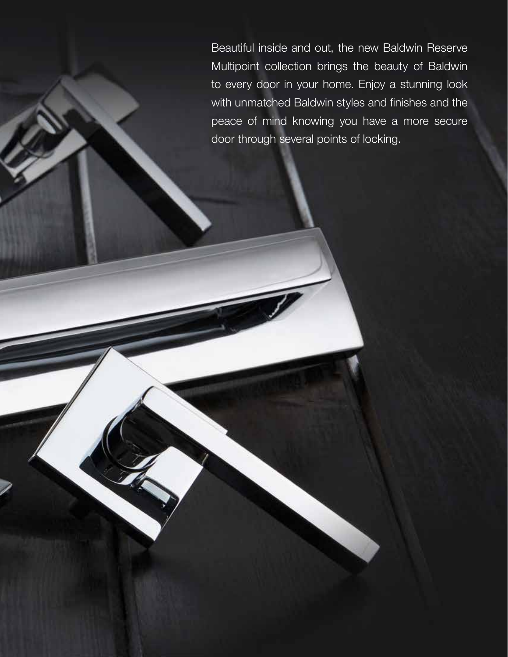Beautiful inside and out, the new Baldwin Reserve Multipoint collection brings the beauty of Baldwin to every door in your home. Enjoy a stunning look with unmatched Baldwin styles and finishes and the peace of mind knowing you have a more secure door through several points of locking.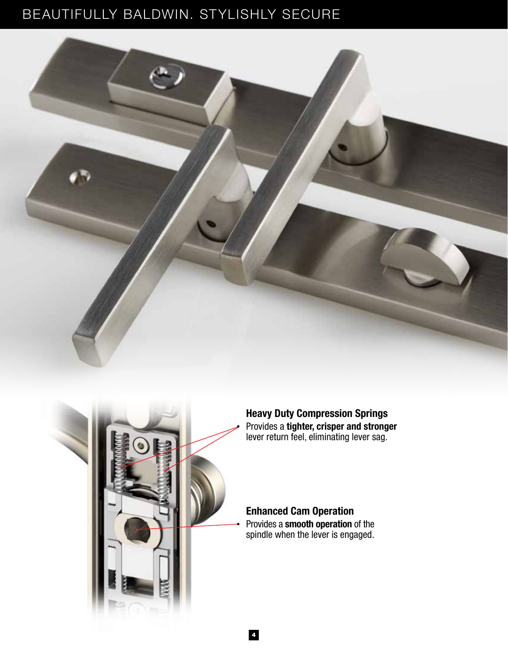# BEAUTIFULLY BALDWIN. STYLISHLY SECURE





## Heavy Duty Compression Springs

• Provides a tighter, crisper and stronger lever return feel, eliminating lever sag.

### Enhanced Cam Operation • Provides a smooth operation of the spindle when the lever is engaged.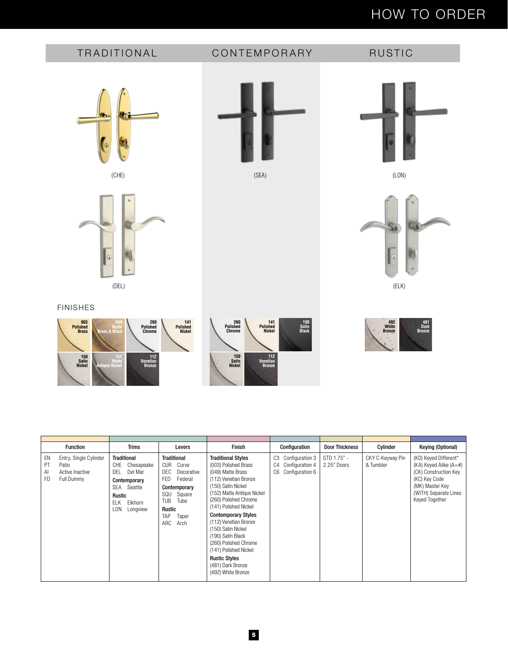## HOW TO ORDER

### TRADITIONAL CONTEMPORARY RUSTIC



(CHE)







(SEA) (LON)



(DEL) (ELK)

FINISHES

 $\overline{1}$ 







| <b>Function</b>                                                                                 | <b>Trims</b>                                                                                                                                              | Levers                                                                                                                                                                     | Finish                                                                                                                                                                                                                                                                                                                                                                                                                       | Configuration                                                                       | <b>Door Thickness</b>      | Cylinder                      | <b>Keying (Optional)</b>                                                                                                                                     |
|-------------------------------------------------------------------------------------------------|-----------------------------------------------------------------------------------------------------------------------------------------------------------|----------------------------------------------------------------------------------------------------------------------------------------------------------------------------|------------------------------------------------------------------------------------------------------------------------------------------------------------------------------------------------------------------------------------------------------------------------------------------------------------------------------------------------------------------------------------------------------------------------------|-------------------------------------------------------------------------------------|----------------------------|-------------------------------|--------------------------------------------------------------------------------------------------------------------------------------------------------------|
| EN<br>Entry, Single Cylinder<br>PT<br>Patio<br>AI<br>Active Inactive<br><b>FD</b><br>Full Dummy | <b>Traditional</b><br><b>CHE</b><br>Chesapeake<br>DEL.<br>Del Mar<br>Contemporary<br>SEA<br>Seattle<br>Rustic<br><b>ELK</b><br>Elkhorn<br>LON<br>Longview | <b>Traditional</b><br>Curve<br>CUR<br>DEC.<br>Decorative<br><b>FED</b><br>Federal<br>Contemporary<br>SQU<br>Square<br>TUB<br>Tube<br>Rustic<br>TAP<br>Taper<br>ARC<br>Arch | <b>Traditional Styles</b><br>(003) Polished Brass<br>(049) Matte Brass<br>(112) Venetian Bronze<br>(150) Satin Nickel<br>(152) Matte Antique Nickel<br>(260) Polished Chrome<br>(141) Polished Nickel<br><b>Contemporary Styles</b><br>(112) Venetian Bronze<br>(150) Satin Nickel<br>(190) Satin Black<br>(260) Polished Chrome<br>(141) Polished Nickel<br><b>Rustic Styles</b><br>(481) Dark Bronze<br>(492) White Bronze | Configuration 3<br>C3<br>C4<br>Configuration 4<br>C <sub>6</sub><br>Configuration 6 | STD 1.75" -<br>2.25" Doors | CKY C-Keyway Pin<br>& Tumbler | (KD) Keyed Different*<br>$(KA)$ Keyed Alike $(A=\#)$<br>(CK) Construction Key<br>(KC) Key Code<br>(MK) Master Key<br>(WITH) Separate Lines<br>Keyed Together |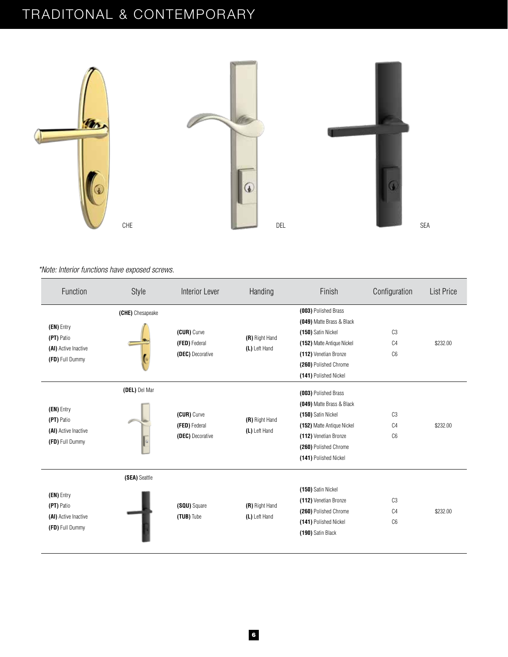# TRADITONAL & CONTEMPORARY



### *\*Note: Interior functions have exposed screws.*

| Function                                                            | Style            | <b>Interior Lever</b>                            | Handing                         | Finish                                                                                                                                                                           | Configuration                          | <b>List Price</b> |
|---------------------------------------------------------------------|------------------|--------------------------------------------------|---------------------------------|----------------------------------------------------------------------------------------------------------------------------------------------------------------------------------|----------------------------------------|-------------------|
| (EN) Entry<br>(PT) Patio<br>(AI) Active Inactive<br>(FD) Full Dummy | (CHE) Chesapeake | (CUR) Curve<br>(FED) Federal<br>(DEC) Decorative | (R) Right Hand<br>(L) Left Hand | (003) Polished Brass<br>(049) Matte Brass & Black<br>(150) Satin Nickel<br>(152) Matte Antique Nickel<br>(112) Venetian Bronze<br>(260) Polished Chrome<br>(141) Polished Nickel | C <sub>3</sub><br>C4<br>C6             | \$232.00          |
| (EN) Entry<br>(PT) Patio<br>(AI) Active Inactive<br>(FD) Full Dummy | (DEL) Del Mar    | (CUR) Curve<br>(FED) Federal<br>(DEC) Decorative | (R) Right Hand<br>(L) Left Hand | (003) Polished Brass<br>(049) Matte Brass & Black<br>(150) Satin Nickel<br>(152) Matte Antique Nickel<br>(112) Venetian Bronze<br>(260) Polished Chrome<br>(141) Polished Nickel | C <sub>3</sub><br>C4<br>C6             | \$232.00          |
| (EN) Entry<br>(PT) Patio<br>(AI) Active Inactive<br>(FD) Full Dummy | (SEA) Seattle    | (SQU) Square<br>(TUB) Tube                       | (R) Right Hand<br>(L) Left Hand | (150) Satin Nickel<br>(112) Venetian Bronze<br>(260) Polished Chrome<br>(141) Polished Nickel<br>(190) Satin Black                                                               | C3<br>C <sub>4</sub><br>C <sub>6</sub> | \$232.00          |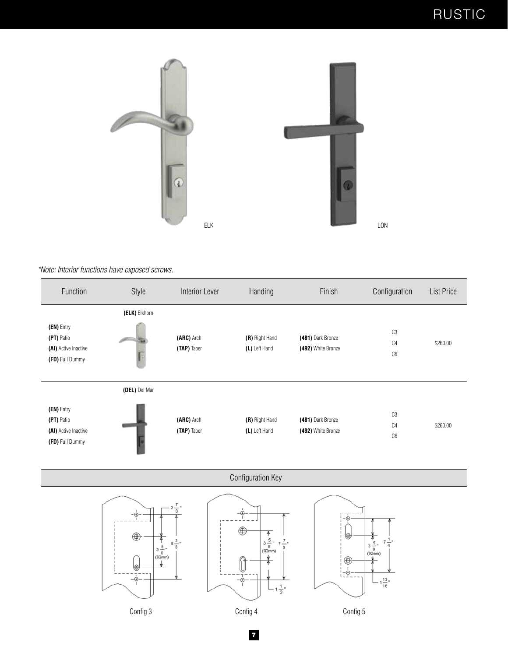

### *\*Note: Interior functions have exposed screws.*

| Function                                                            | Style         | <b>Interior Lever</b>     | Handing                         | Finish                                  | Configuration              | <b>List Price</b> |
|---------------------------------------------------------------------|---------------|---------------------------|---------------------------------|-----------------------------------------|----------------------------|-------------------|
| (EN) Entry<br>(PT) Patio<br>(AI) Active Inactive<br>(FD) Full Dummy | (ELK) Elkhorn | (ARC) Arch<br>(TAP) Taper | (R) Right Hand<br>(L) Left Hand | (481) Dark Bronze<br>(492) White Bronze | C <sub>3</sub><br>C4<br>C6 | \$260.00          |
|                                                                     | (DEL) Del Mar |                           |                                 |                                         |                            |                   |
| (EN) Entry                                                          |               |                           |                                 |                                         | C3                         |                   |
| (PT) Patio<br>(AI) Active Inactive                                  |               | (ARC) Arch<br>(TAP) Taper | (R) Right Hand<br>(L) Left Hand | (481) Dark Bronze<br>(492) White Bronze | C4                         | \$260.00          |
| (FD) Full Dummy                                                     |               |                           |                                 |                                         | C6                         |                   |



7